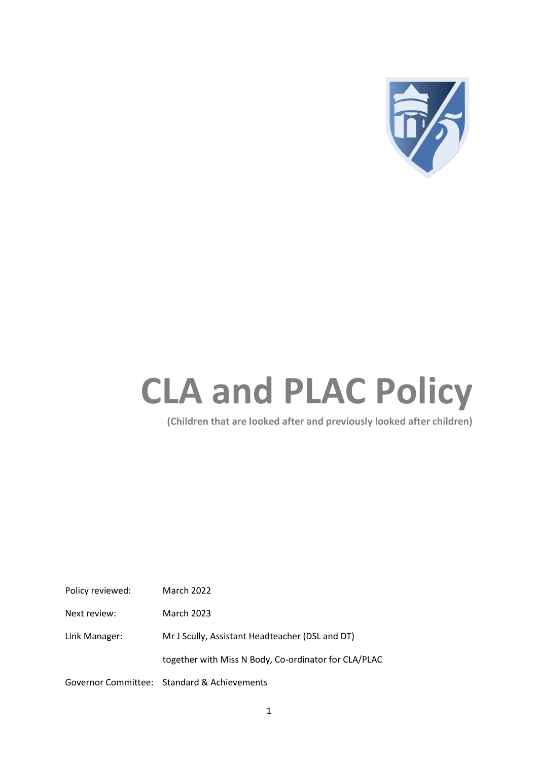

# **CLA and PLAC Policy**

**(Children that are looked after and previously looked after children)**

| Policy reviewed: | <b>March 2022</b>                                    |
|------------------|------------------------------------------------------|
| Next review:     | March 2023                                           |
| Link Manager:    | Mr J Scully, Assistant Headteacher (DSL and DT)      |
|                  | together with Miss N Body, Co-ordinator for CLA/PLAC |
|                  | Governor Committee: Standard & Achievements          |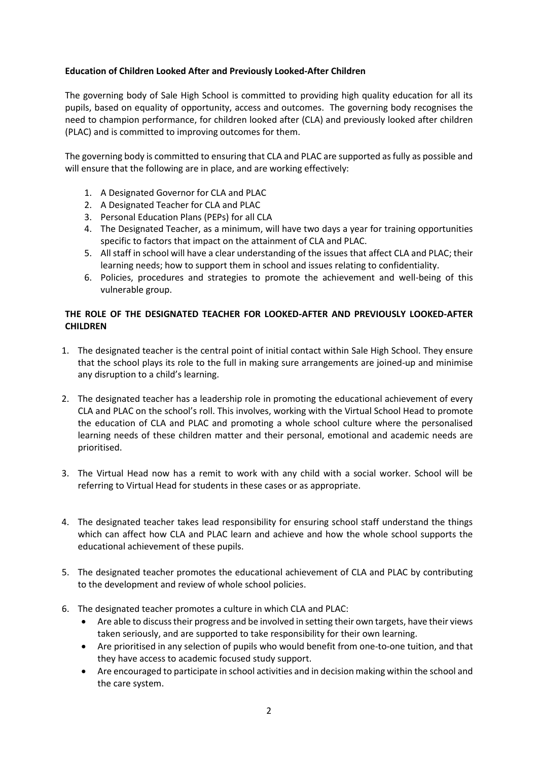# **Education of Children Looked After and Previously Looked-After Children**

The governing body of Sale High School is committed to providing high quality education for all its pupils, based on equality of opportunity, access and outcomes. The governing body recognises the need to champion performance, for children looked after (CLA) and previously looked after children (PLAC) and is committed to improving outcomes for them.

The governing body is committed to ensuring that CLA and PLAC are supported as fully as possible and will ensure that the following are in place, and are working effectively:

- 1. A Designated Governor for CLA and PLAC
- 2. A Designated Teacher for CLA and PLAC
- 3. Personal Education Plans (PEPs) for all CLA
- 4. The Designated Teacher, as a minimum, will have two days a year for training opportunities specific to factors that impact on the attainment of CLA and PLAC.
- 5. All staff in school will have a clear understanding of the issues that affect CLA and PLAC; their learning needs; how to support them in school and issues relating to confidentiality.
- 6. Policies, procedures and strategies to promote the achievement and well-being of this vulnerable group.

## **THE ROLE OF THE DESIGNATED TEACHER FOR LOOKED-AFTER AND PREVIOUSLY LOOKED-AFTER CHILDREN**

- 1. The designated teacher is the central point of initial contact within Sale High School. They ensure that the school plays its role to the full in making sure arrangements are joined-up and minimise any disruption to a child's learning.
- 2. The designated teacher has a leadership role in promoting the educational achievement of every CLA and PLAC on the school's roll. This involves, working with the Virtual School Head to promote the education of CLA and PLAC and promoting a whole school culture where the personalised learning needs of these children matter and their personal, emotional and academic needs are prioritised.
- 3. The Virtual Head now has a remit to work with any child with a social worker. School will be referring to Virtual Head for students in these cases or as appropriate.
- 4. The designated teacher takes lead responsibility for ensuring school staff understand the things which can affect how CLA and PLAC learn and achieve and how the whole school supports the educational achievement of these pupils.
- 5. The designated teacher promotes the educational achievement of CLA and PLAC by contributing to the development and review of whole school policies.
- 6. The designated teacher promotes a culture in which CLA and PLAC:
	- Are able to discuss their progress and be involved in setting their own targets, have their views taken seriously, and are supported to take responsibility for their own learning.
	- Are prioritised in any selection of pupils who would benefit from one-to-one tuition, and that they have access to academic focused study support.
	- Are encouraged to participate in school activities and in decision making within the school and the care system.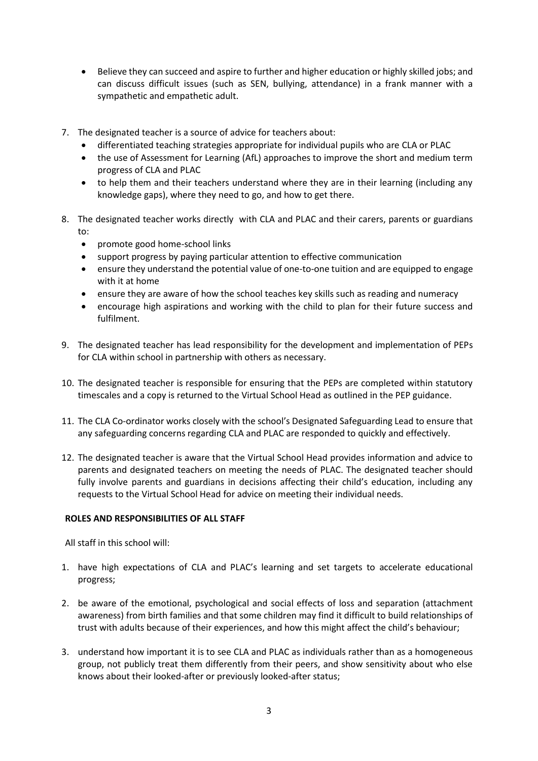- Believe they can succeed and aspire to further and higher education or highly skilled jobs; and can discuss difficult issues (such as SEN, bullying, attendance) in a frank manner with a sympathetic and empathetic adult.
- 7. The designated teacher is a source of advice for teachers about:
	- differentiated teaching strategies appropriate for individual pupils who are CLA or PLAC
	- the use of Assessment for Learning (AfL) approaches to improve the short and medium term progress of CLA and PLAC
	- to help them and their teachers understand where they are in their learning (including any knowledge gaps), where they need to go, and how to get there.
- 8. The designated teacher works directly with CLA and PLAC and their carers, parents or guardians to:
	- promote good home-school links
	- support progress by paying particular attention to effective communication
	- ensure they understand the potential value of one-to-one tuition and are equipped to engage with it at home
	- ensure they are aware of how the school teaches key skills such as reading and numeracy
	- encourage high aspirations and working with the child to plan for their future success and fulfilment.
- 9. The designated teacher has lead responsibility for the development and implementation of PEPs for CLA within school in partnership with others as necessary.
- 10. The designated teacher is responsible for ensuring that the PEPs are completed within statutory timescales and a copy is returned to the Virtual School Head as outlined in the PEP guidance.
- 11. The CLA Co-ordinator works closely with the school's Designated Safeguarding Lead to ensure that any safeguarding concerns regarding CLA and PLAC are responded to quickly and effectively.
- 12. The designated teacher is aware that the Virtual School Head provides information and advice to parents and designated teachers on meeting the needs of PLAC. The designated teacher should fully involve parents and guardians in decisions affecting their child's education, including any requests to the Virtual School Head for advice on meeting their individual needs.

#### **ROLES AND RESPONSIBILITIES OF ALL STAFF**

All staff in this school will:

- 1. have high expectations of CLA and PLAC's learning and set targets to accelerate educational progress;
- 2. be aware of the emotional, psychological and social effects of loss and separation (attachment awareness) from birth families and that some children may find it difficult to build relationships of trust with adults because of their experiences, and how this might affect the child's behaviour;
- 3. understand how important it is to see CLA and PLAC as individuals rather than as a homogeneous group, not publicly treat them differently from their peers, and show sensitivity about who else knows about their looked-after or previously looked-after status;